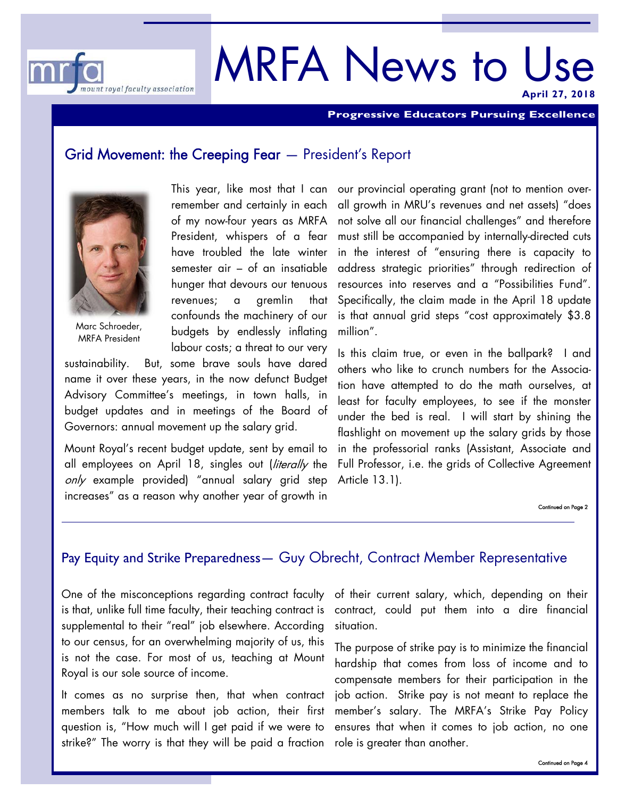

# MRFA News to Use **April 27, 2018**

**Progressive Educators Pursuing Excellence** 

#### Grid Movement: the Creeping Fear — President's Report



Marc Schroeder, MRFA President

remember and certainly in each of my now-four years as MRFA President, whispers of a fear have troubled the late winter semester air – of an insatiable hunger that devours our tenuous revenues; a gremlin that confounds the machinery of our budgets by endlessly inflating labour costs; a threat to our very

sustainability. But, some brave souls have dared name it over these years, in the now defunct Budget Advisory Committee's meetings, in town halls, in budget updates and in meetings of the Board of Governors: annual movement up the salary grid.

Mount Royal's recent budget update, sent by email to all employees on April 18, singles out (literally the only example provided) "annual salary grid step increases" as a reason why another year of growth in

This year, like most that I can our provincial operating grant (not to mention overall growth in MRU's revenues and net assets) "does not solve all our financial challenges" and therefore must still be accompanied by internally-directed cuts in the interest of "ensuring there is capacity to address strategic priorities" through redirection of resources into reserves and a "Possibilities Fund". Specifically, the claim made in the April 18 update is that annual grid steps "cost approximately \$3.8 million".

> Is this claim true, or even in the ballpark? I and others who like to crunch numbers for the Association have attempted to do the math ourselves, at least for faculty employees, to see if the monster under the bed is real. I will start by shining the flashlight on movement up the salary grids by those in the professorial ranks (Assistant, Associate and Full Professor, i.e. the grids of Collective Agreement Article 13.1).

> > Continued on Page 2

### Pay Equity and Strike Preparedness— Guy Obrecht, Contract Member Representative

One of the misconceptions regarding contract faculty is that, unlike full time faculty, their teaching contract is supplemental to their "real" job elsewhere. According to our census, for an overwhelming majority of us, this is not the case. For most of us, teaching at Mount Royal is our sole source of income.

It comes as no surprise then, that when contract members talk to me about job action, their first question is, "How much will I get paid if we were to strike?" The worry is that they will be paid a fraction

of their current salary, which, depending on their contract, could put them into a dire financial situation.

The purpose of strike pay is to minimize the financial hardship that comes from loss of income and to compensate members for their participation in the job action. Strike pay is not meant to replace the member's salary. The MRFA's Strike Pay Policy ensures that when it comes to job action, no one role is greater than another.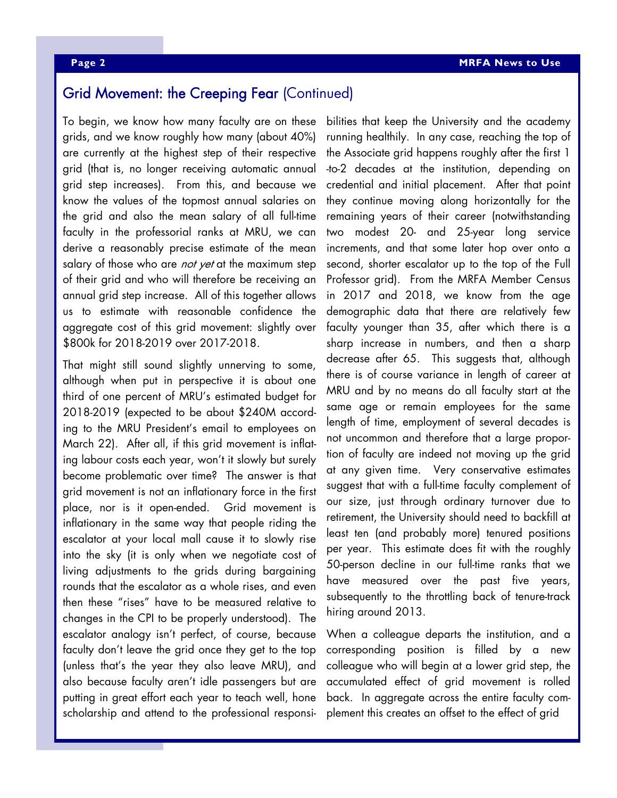#### Grid Movement: the Creeping Fear (Continued)

To begin, we know how many faculty are on these grids, and we know roughly how many (about 40%) are currently at the highest step of their respective grid (that is, no longer receiving automatic annual grid step increases). From this, and because we know the values of the topmost annual salaries on the grid and also the mean salary of all full-time faculty in the professorial ranks at MRU, we can derive a reasonably precise estimate of the mean salary of those who are not yet at the maximum step of their grid and who will therefore be receiving an annual grid step increase. All of this together allows us to estimate with reasonable confidence the aggregate cost of this grid movement: slightly over \$800k for 2018-2019 over 2017-2018.

That might still sound slightly unnerving to some, although when put in perspective it is about one third of one percent of MRU's estimated budget for 2018-2019 (expected to be about \$240M according to the MRU President's email to employees on March 22). After all, if this grid movement is inflating labour costs each year, won't it slowly but surely become problematic over time? The answer is that grid movement is not an inflationary force in the first place, nor is it open-ended. Grid movement is inflationary in the same way that people riding the escalator at your local mall cause it to slowly rise into the sky (it is only when we negotiate cost of living adjustments to the grids during bargaining rounds that the escalator as a whole rises, and even then these "rises" have to be measured relative to changes in the CPI to be properly understood). The escalator analogy isn't perfect, of course, because faculty don't leave the grid once they get to the top (unless that's the year they also leave MRU), and also because faculty aren't idle passengers but are putting in great effort each year to teach well, hone scholarship and attend to the professional responsibilities that keep the University and the academy running healthily. In any case, reaching the top of the Associate grid happens roughly after the first 1 -to-2 decades at the institution, depending on credential and initial placement. After that point they continue moving along horizontally for the remaining years of their career (notwithstanding two modest 20- and 25-year long service increments, and that some later hop over onto a second, shorter escalator up to the top of the Full Professor grid). From the MRFA Member Census in 2017 and 2018, we know from the age demographic data that there are relatively few faculty younger than 35, after which there is a sharp increase in numbers, and then a sharp decrease after 65. This suggests that, although there is of course variance in length of career at MRU and by no means do all faculty start at the same age or remain employees for the same length of time, employment of several decades is not uncommon and therefore that a large proportion of faculty are indeed not moving up the grid at any given time. Very conservative estimates suggest that with a full-time faculty complement of our size, just through ordinary turnover due to retirement, the University should need to backfill at least ten (and probably more) tenured positions per year. This estimate does fit with the roughly 50-person decline in our full-time ranks that we have measured over the past five years, subsequently to the throttling back of tenure-track hiring around 2013.

When a colleague departs the institution, and a corresponding position is filled by a new colleague who will begin at a lower grid step, the accumulated effect of grid movement is rolled back. In aggregate across the entire faculty complement this creates an offset to the effect of grid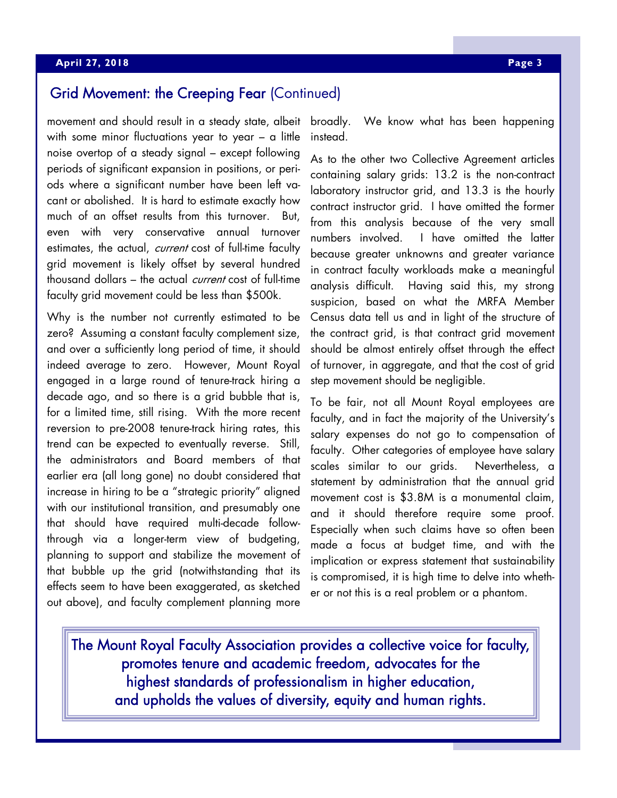# Grid Movement: the Creeping Fear (Continued)

movement and should result in a steady state, albeit with some minor fluctuations year to year – a little noise overtop of a steady signal – except following periods of significant expansion in positions, or periods where a significant number have been left vacant or abolished. It is hard to estimate exactly how much of an offset results from this turnover. But, even with very conservative annual turnover estimates, the actual, current cost of full-time faculty grid movement is likely offset by several hundred thousand dollars – the actual *current* cost of full-time faculty grid movement could be less than \$500k.

Why is the number not currently estimated to be zero? Assuming a constant faculty complement size, and over a sufficiently long period of time, it should indeed average to zero. However, Mount Royal engaged in a large round of tenure-track hiring a decade ago, and so there is a grid bubble that is, for a limited time, still rising. With the more recent reversion to pre-2008 tenure-track hiring rates, this trend can be expected to eventually reverse. Still, the administrators and Board members of that earlier era (all long gone) no doubt considered that increase in hiring to be a "strategic priority" aligned with our institutional transition, and presumably one that should have required multi-decade followthrough via a longer-term view of budgeting, planning to support and stabilize the movement of that bubble up the grid (notwithstanding that its effects seem to have been exaggerated, as sketched out above), and faculty complement planning more

broadly. We know what has been happening instead.

As to the other two Collective Agreement articles containing salary grids: 13.2 is the non-contract laboratory instructor grid, and 13.3 is the hourly contract instructor grid. I have omitted the former from this analysis because of the very small numbers involved. I have omitted the latter because greater unknowns and greater variance in contract faculty workloads make a meaningful analysis difficult. Having said this, my strong suspicion, based on what the MRFA Member Census data tell us and in light of the structure of the contract grid, is that contract grid movement should be almost entirely offset through the effect of turnover, in aggregate, and that the cost of grid step movement should be negligible.

To be fair, not all Mount Royal employees are faculty, and in fact the majority of the University's salary expenses do not go to compensation of faculty. Other categories of employee have salary scales similar to our grids. Nevertheless, a statement by administration that the annual grid movement cost is \$3.8M is a monumental claim, and it should therefore require some proof. Especially when such claims have so often been made a focus at budget time, and with the implication or express statement that sustainability is compromised, it is high time to delve into whether or not this is a real problem or a phantom.

The Mount Royal Faculty Association provides a collective voice for faculty, promotes tenure and academic freedom, advocates for the highest standards of professionalism in higher education, and upholds the values of diversity, equity and human rights.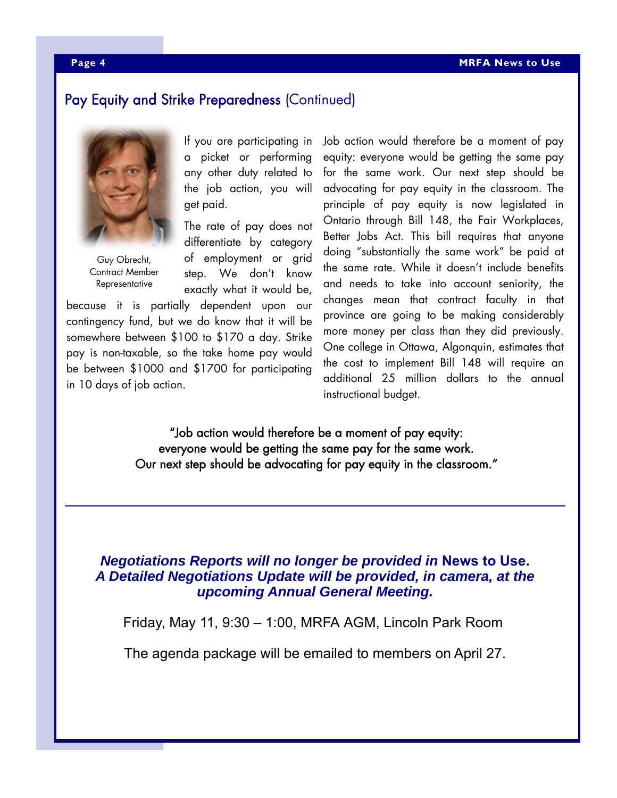### Pay Equity and Strike Preparedness (Continued)



Guy Obrecht, Contract Member Representative

If you are participating in a picket or performing any other duty related to the job action, you will get paid.

The rate of pay does not differentiate by category of employment or grid step. We don't know exactly what it would be,

because it is partially dependent upon our contingency fund, but we do know that it will be somewhere between \$100 to \$170 a day. Strike pay is non-taxable, so the take home pay would be between \$1000 and \$1700 for participating in 10 days of job action.

Job action would therefore be a moment of pay equity: everyone would be getting the same pay for the same work. Our next step should be advocating for pay equity in the classroom. The principle of pay equity is now legislated in Ontario through Bill 148, the Fair Workplaces, Better Jobs Act. This bill requires that anyone doing "substantially the same work" be paid at the same rate. While it doesn't include benefits and needs to take into account seniority, the changes mean that contract faculty in that province are going to be making considerably more money per class than they did previously. One college in Ottawa, Algonquin, estimates that the cost to implement Bill 148 will require an additional 25 million dollars to the annual instructional budget.

"Job action would therefore be a moment of pay equity: everyone would be getting the same pay for the same work. Our next step should be advocating for pay equity in the classroom."

#### *Negotiations Reports will no longer be provided in* **News to Use.** *A Detailed Negotiations Update will be provided, in camera, at the upcoming Annual General Meeting.*

Friday, May 11, 9:30 – 1:00, MRFA AGM, Lincoln Park Room

The agenda package will be emailed to members on April 27.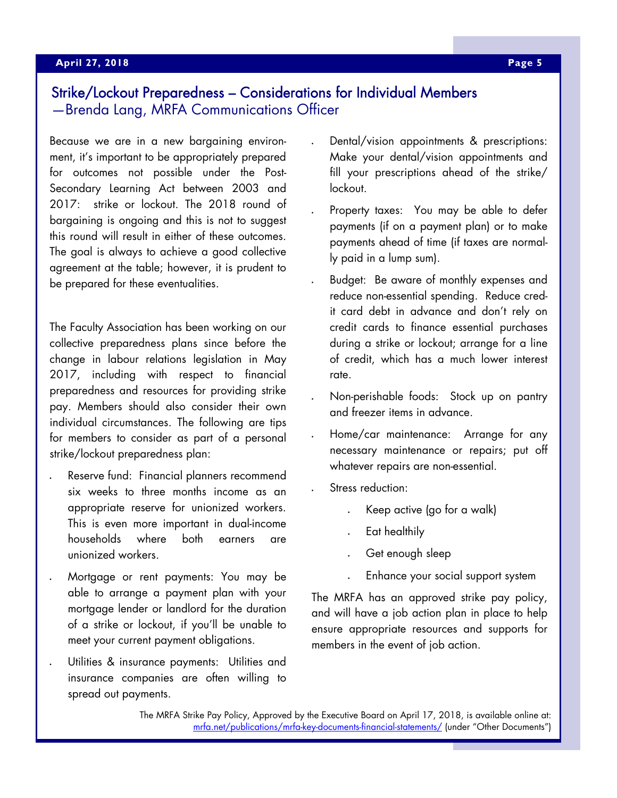#### **April 23, 2015 April 27, 2018 Page 5**

## Strike/Lockout Preparedness – Considerations for Individual Members —Brenda Lang, MRFA Communications Officer

Because we are in a new bargaining environment, it's important to be appropriately prepared for outcomes not possible under the Post-Secondary Learning Act between 2003 and 2017: strike or lockout. The 2018 round of bargaining is ongoing and this is not to suggest this round will result in either of these outcomes. The goal is always to achieve a good collective agreement at the table; however, it is prudent to be prepared for these eventualities.

The Faculty Association has been working on our collective preparedness plans since before the change in labour relations legislation in May 2017, including with respect to financial preparedness and resources for providing strike pay. Members should also consider their own individual circumstances. The following are tips for members to consider as part of a personal strike/lockout preparedness plan:

- Reserve fund: Financial planners recommend six weeks to three months income as an appropriate reserve for unionized workers. This is even more important in dual-income households where both earners are unionized workers.
- Mortgage or rent payments: You may be able to arrange a payment plan with your mortgage lender or landlord for the duration of a strike or lockout, if you'll be unable to meet your current payment obligations.
- Utilities & insurance payments: Utilities and insurance companies are often willing to spread out payments.
- Dental/vision appointments & prescriptions: Make your dental/vision appointments and fill your prescriptions ahead of the strike/ lockout.
- Property taxes: You may be able to defer payments (if on a payment plan) or to make payments ahead of time (if taxes are normally paid in a lump sum).
- Budget: Be aware of monthly expenses and reduce non-essential spending. Reduce credit card debt in advance and don't rely on credit cards to finance essential purchases during a strike or lockout; arrange for a line of credit, which has a much lower interest rate.
- Non-perishable foods: Stock up on pantry and freezer items in advance.
- Home/car maintenance: Arrange for any necessary maintenance or repairs; put off whatever repairs are non-essential.
- Stress reduction:
	- Keep active (go for a walk)
	- Eat healthily
	- Get enough sleep
	- Enhance your social support system

The MRFA has an approved strike pay policy, and will have a job action plan in place to help ensure appropriate resources and supports for members in the event of job action.

The MRFA Strike Pay Policy, Approved by the Executive Board on April 17, 2018, is available online at: mrfa.net/publications/mrfa-key-documents-financial-statements/ (under "Other Documents")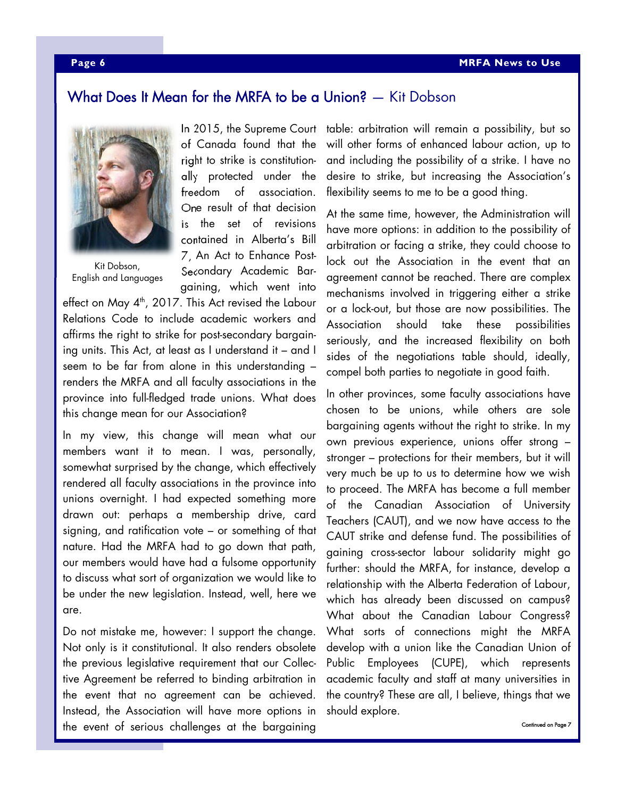### What Does It Mean for the MRFA to be a Union? — Kit Dobson



Kit Dobson, English and Languages

In 2015, the Supreme Court of Canada found that the right to strike is constitutionally protected under the freedom of association. One result of that decision is the set of revisions contained in Alberta's Bill 7, An Act to Enhance Post-Secondary Academic Bargaining, which went into

effect on May  $4^{\text{th}}$ , 2017. This Act revised the Labour Relations Code to include academic workers and affirms the right to strike for post-secondary bargaining units. This Act, at least as I understand it – and I seem to be far from alone in this understanding – renders the MRFA and all faculty associations in the province into full-fledged trade unions. What does this change mean for our Association?

In my view, this change will mean what our members want it to mean. I was, personally, somewhat surprised by the change, which effectively rendered all faculty associations in the province into unions overnight. I had expected something more drawn out: perhaps a membership drive, card signing, and ratification vote – or something of that nature. Had the MRFA had to go down that path, our members would have had a fulsome opportunity to discuss what sort of organization we would like to be under the new legislation. Instead, well, here we are.

Do not mistake me, however: I support the change. Not only is it constitutional. It also renders obsolete the previous legislative requirement that our Collective Agreement be referred to binding arbitration in the event that no agreement can be achieved. Instead, the Association will have more options in the event of serious challenges at the bargaining

table: arbitration will remain a possibility, but so will other forms of enhanced labour action, up to and including the possibility of a strike. I have no desire to strike, but increasing the Association's flexibility seems to me to be a good thing.

At the same time, however, the Administration will have more options: in addition to the possibility of arbitration or facing a strike, they could choose to lock out the Association in the event that an agreement cannot be reached. There are complex mechanisms involved in triggering either a strike or a lock-out, but those are now possibilities. The Association should take these possibilities seriously, and the increased flexibility on both sides of the negotiations table should, ideally, compel both parties to negotiate in good faith.

In other provinces, some faculty associations have chosen to be unions, while others are sole bargaining agents without the right to strike. In my own previous experience, unions offer strong – stronger – protections for their members, but it will very much be up to us to determine how we wish to proceed. The MRFA has become a full member of the Canadian Association of University Teachers (CAUT), and we now have access to the CAUT strike and defense fund. The possibilities of gaining cross-sector labour solidarity might go further: should the MRFA, for instance, develop a relationship with the Alberta Federation of Labour, which has already been discussed on campus? What about the Canadian Labour Congress? What sorts of connections might the MRFA develop with a union like the Canadian Union of Public Employees (CUPE), which represents academic faculty and staff at many universities in the country? These are all, I believe, things that we should explore.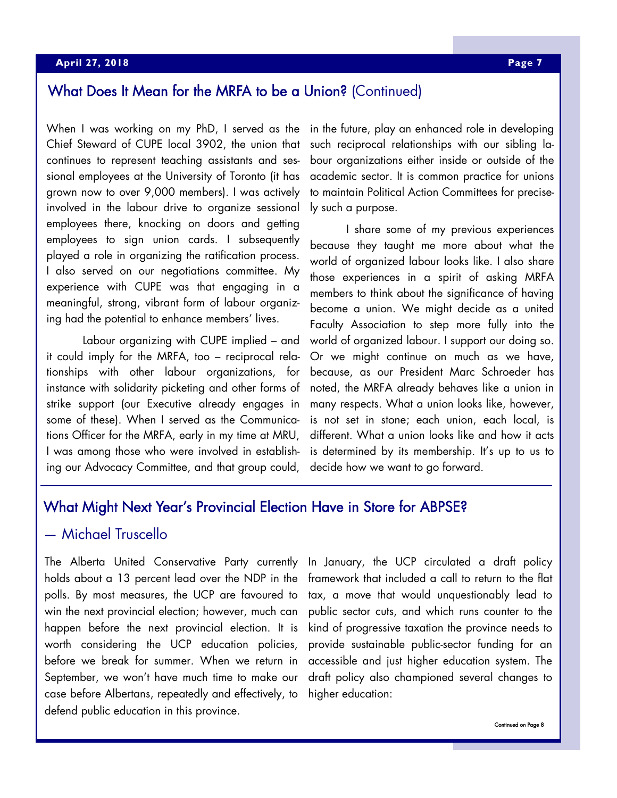# What Does It Mean for the MRFA to be a Union? (Continued)

When I was working on my PhD, I served as the Chief Steward of CUPE local 3902, the union that continues to represent teaching assistants and sessional employees at the University of Toronto (it has grown now to over 9,000 members). I was actively involved in the labour drive to organize sessional employees there, knocking on doors and getting employees to sign union cards. I subsequently played a role in organizing the ratification process. I also served on our negotiations committee. My experience with CUPE was that engaging in a meaningful, strong, vibrant form of labour organizing had the potential to enhance members' lives.

 Labour organizing with CUPE implied – and it could imply for the MRFA, too – reciprocal relationships with other labour organizations, for instance with solidarity picketing and other forms of strike support (our Executive already engages in some of these). When I served as the Communications Officer for the MRFA, early in my time at MRU, I was among those who were involved in establishing our Advocacy Committee, and that group could,

in the future, play an enhanced role in developing such reciprocal relationships with our sibling labour organizations either inside or outside of the academic sector. It is common practice for unions to maintain Political Action Committees for precisely such a purpose.

 I share some of my previous experiences because they taught me more about what the world of organized labour looks like. I also share those experiences in a spirit of asking MRFA members to think about the significance of having become a union. We might decide as a united Faculty Association to step more fully into the world of organized labour. I support our doing so. Or we might continue on much as we have, because, as our President Marc Schroeder has noted, the MRFA already behaves like a union in many respects. What a union looks like, however, is not set in stone; each union, each local, is different. What a union looks like and how it acts is determined by its membership. It's up to us to decide how we want to go forward.

#### What Might Next Year's Provincial Election Have in Store for ABPSE?

#### — Michael Truscello

The Alberta United Conservative Party currently holds about a 13 percent lead over the NDP in the polls. By most measures, the UCP are favoured to win the next provincial election; however, much can happen before the next provincial election. It is worth considering the UCP education policies, before we break for summer. When we return in September, we won't have much time to make our case before Albertans, repeatedly and effectively, to defend public education in this province.

In January, the UCP circulated a draft policy framework that included a call to return to the flat tax, a move that would unquestionably lead to public sector cuts, and which runs counter to the kind of progressive taxation the province needs to provide sustainable public-sector funding for an accessible and just higher education system. The draft policy also championed several changes to higher education: